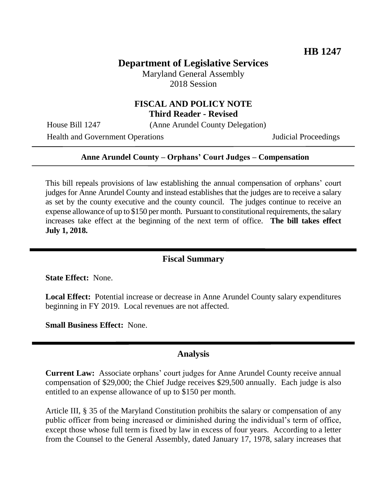# **Department of Legislative Services**

Maryland General Assembly 2018 Session

### **FISCAL AND POLICY NOTE Third Reader - Revised**

House Bill 1247 (Anne Arundel County Delegation)

Health and Government Operations Judicial Proceedings

#### **Anne Arundel County – Orphans' Court Judges – Compensation**

This bill repeals provisions of law establishing the annual compensation of orphans' court judges for Anne Arundel County and instead establishes that the judges are to receive a salary as set by the county executive and the county council. The judges continue to receive an expense allowance of up to \$150 per month. Pursuant to constitutional requirements, the salary increases take effect at the beginning of the next term of office. **The bill takes effect July 1, 2018.**

### **Fiscal Summary**

**State Effect:** None.

**Local Effect:** Potential increase or decrease in Anne Arundel County salary expenditures beginning in FY 2019. Local revenues are not affected.

**Small Business Effect:** None.

#### **Analysis**

**Current Law:** Associate orphans' court judges for Anne Arundel County receive annual compensation of \$29,000; the Chief Judge receives \$29,500 annually. Each judge is also entitled to an expense allowance of up to \$150 per month.

Article III, § 35 of the Maryland Constitution prohibits the salary or compensation of any public officer from being increased or diminished during the individual's term of office, except those whose full term is fixed by law in excess of four years. According to a letter from the Counsel to the General Assembly, dated January 17, 1978, salary increases that